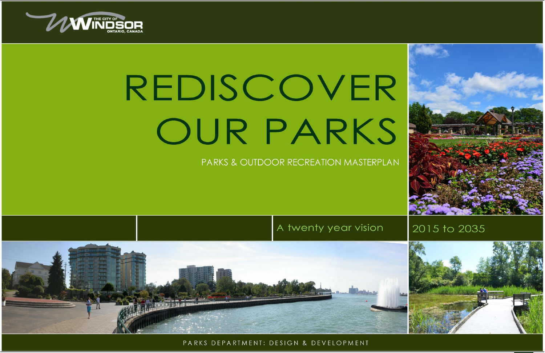

# REDISCOVER OUR PARKS

PARKS & OUTDOOR RECREATION MASTERPLAN

A twenty year vision



PARKS DEPARTMENT: DESIGN & DEVELOPMENT

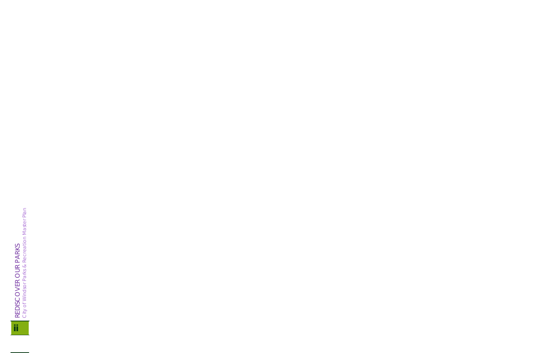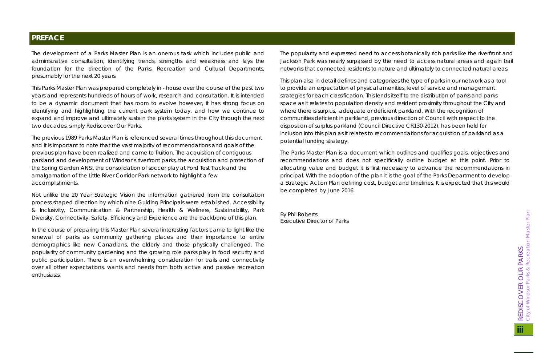City of Windsor Parks & Recreation Master Plan **REDISCOVER OUR PARKS**<br>City of Windsor Parks & Recreation Master Plan REDISCOVER OUR PARKS **iii**

## **PREFACE**

The development of a Parks Master Plan is an onerous task which includes public and administrative consultation, identifying trends, strengths and weakness and lays the foundation for the direction of the Parks, Recreation and Cultural Departments, presumably for the next 20 years.

This Parks Master Plan was prepared completely in - house over the course of the past two years and represents hundreds of hours of work, research and consultation. It is intended to be a dynamic document that has room to evolve however, it has strong focus on identifying and highlighting the current park system today, and how we continue to expand and improve and ultimately sustain the parks system in the City through the next two decades, simply Rediscover Our Parks.

The previous 1989 Parks Master Plan is referenced several times throughout this document and it is important to note that the vast majority of recommendations and goals of the previous plan have been realized and came to fruition. The acquisition of contiguous parkland and development of Windsor's riverfront parks, the acquisition and protection of the Spring Garden ANSI, the consolidation of soccer play at Ford Test Track and the amalgamation of the Little River Corridor Park network to highlight a few accomplishments.

Not unlike the 20 Year Strategic Vision the information gathered from the consultation process shaped direction by which nine Guiding Principals were established. Accessibility & Inclusivity, Communication & Partnership, Health & Wellness, Sustainability, Park Diversity, Connectivity, Safety, Efficiency and Experience are the backbone of this plan.

In the course of preparing this Master Plan several interesting factors came to light like the renewal of parks as community gathering places and their importance to entire demographics like new Canadians, the elderly and those physically challenged. The popularity of community gardening and the growing role parks play in food security and public participation. There is an overwhelming consideration for trails and connectivity over all other expectations, wants and needs from both active and passive recreation enthusiasts.

The popularity and expressed need to access botanically rich parks like the riverfront and Jackson Park was nearly surpassed by the need to access natural areas and again trail networks that connected residents to nature and ultimately to connected natural areas.

This plan also in detail defines and categorizes the type of parks in our network as a tool to provide an expectation of physical amenities, level of service and management strategies for each classification. This lends itself to the distribution of parks and parks space as it relates to population density and resident proximity throughout the City and where there is surplus, adequate or deficient parkland. With the recognition of communities deficient in parkland, previous direction of Council with respect to the disposition of surplus parkland (Council Directive CR130-2012), has been held for inclusion into this plan as it relates to recommendations for acquisition of parkland as a potential funding strategy.

The Parks Master Plan is a document which outlines and qualifies goals, objectives and recommendations and does not specifically outline budget at this point. Prior to allocating value and budget it is first necessary to advance the recommendations in principal. With the adoption of the plan it is the goal of the Parks Department to develop a Strategic Action Plan defining cost, budget and timelines. It is expected that this would be completed by June 2016.

By Phil Roberts Executive Director of Parks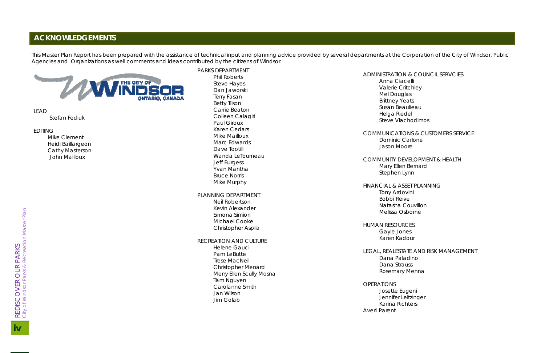

# **ACKNOWLEDGEMENTS**

This Master Plan Report has been prepared with the assistance of technical input and planning advice provided by several departments at the Corporation of the City of Windsor, Public Agencies and Organizations as well comments and ideas contributed by the citizens of Windsor.



LEAD

Stefan Fediuk

#### **FDITING**

Mike Clement Heidi Baillargeon Cathy Masterson John Mailloux

PARKS DEPARTMENT

Phil Roberts Steve Hayes Dan Jaworski Terry Fasan Betty Tilson Carrie Beaton Colleen Calagiri Paul Giroux Karen Cedars Mike Mailloux Marc Edwards Dave Tootill Wanda LeTourneau Jeff Burgess Yvan Mantha Bruce Norris Mike Murphy

# PLANNING DEPARTMENT

Neil Robertson Kevin Alexander Simona Simion Michael Cooke Christopher Aspila

#### RECREATION AND CULTURE

Helene Gauci Pam LeButte Trese MacNeil Christopher Menard Merry Ellen Scully Mosna Tam Nguyen Carolanne Smith Jan Wilson Jim Golab

ADMINISTRATION & COUNCIL SERVCIES Anna Ciacelli Valerie Critchley Mel Douglas Brittney Yeats Susan Beaulieau Helga Riedel Steve Vlachodimos COMMUNICATIONS & CUSTOMERS SERVICE Dominic Carlone Jason Moore COMMUNITY DEVELOPMENT & HEALTH Mary Ellen Bernard Stephen Lynn FINANCIAL & ASSET PLANNING Tony Ardovini Bobbi Reive Natasha Couvillon Melissa Osborne HUMAN RESOURCES Gayle Jones Karen Kadour LEGAL, REALESTATE AND RISK MANAGEMENT Dana Paladino Dana Strauss Rosemary Menna

#### OPERATIONS

Josette Eugeni Jennifer Leitzinger Karina Richters Averil Parent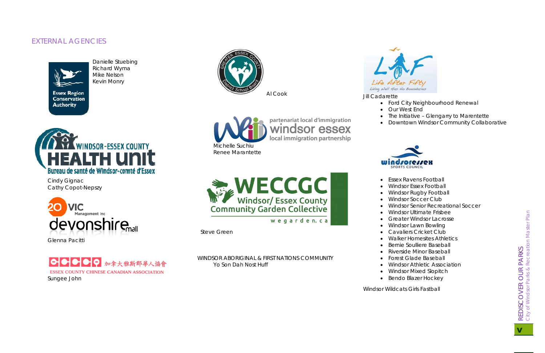City of Windsor Parks & Recreation Master Plan REDISCOVER OUR PARKS<br>City of Windsor Parks & Recreation Master Plan REDISCOVER OUR PARKS **v**

# EXTERNAL AGENCIES



Danielle Stuebing Richard Wyma Mike Nelson Kevin Monry

Conservation **Authority** 





Cindy Gignac Cathy Copot-Nepszy



Glenna Pacitti





Al Cook

Michelle Suchiu Renee Marantette



wegarden.ca

partenariat local d'immigration windsor essex

local immigration partnership

 Essex Ravens Football Windsor Essex Football Windsor Rugby Football Windsor Soccer Club Windsor Senior Recreational Soccer Windsor Ultimate Frisbee Greater Windsor Lacrosse Windsor Lawn Bowling Cavaliers Cricket Club Walker Homesites Athletics Bernie Soulliere Baseball Riverside Minor Baseball Forest Glade Baseball Windsor Athletic Association Windsor Mixed Slopitch • Bendo Blazer Hockey

Steve Green

WINDSOR ABORIGINAL & FIRST NATIONS COMMUNITY Yo Son Dah Nost Huff



Jill Cadarette

- 
- - 0
	- .



- 0
- .
- .
- 
- 0
- .
- . .
- 0
- 0
- .
- .
- .
- 
- 
- 

 Ford City Neighbourhood Renewal Our West End The Initiative – Glengarry to Marentette Downtown Windsor Community Collaborative



Windsor Wildcats Girls Fastball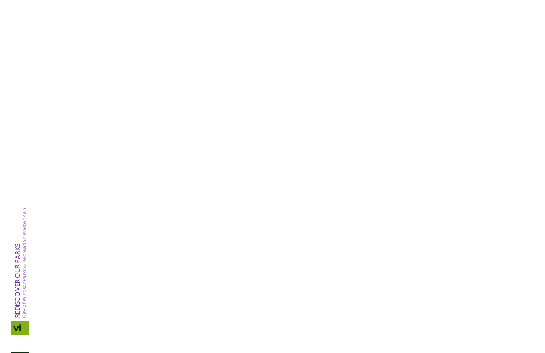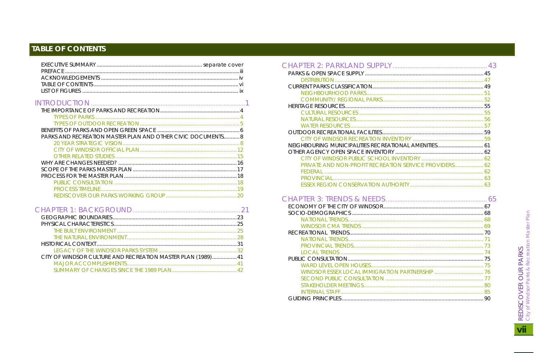# TABLE OF CONTENTS

# **INTRODUCTION**

| PARKS AND RECREATION MASTER PLAN AND OTHER CIVIC DOCUMENTS 8 |  |
|--------------------------------------------------------------|--|
|                                                              |  |
|                                                              |  |
|                                                              |  |
|                                                              |  |
|                                                              |  |
|                                                              |  |
|                                                              |  |
|                                                              |  |
|                                                              |  |

# 

| CITY OF WINDSOR CULTURE AND RECREATION MASTER PLAN (1989) 41 |  |
|--------------------------------------------------------------|--|
|                                                              |  |
|                                                              |  |
|                                                              |  |

# $\mathcal{C}$

 $\overline{.1}$ 

| NEIGHBOURING MUNICIPALITIES RECREATIONAL AMENITIES 61  |  |
|--------------------------------------------------------|--|
|                                                        |  |
|                                                        |  |
| PRIVATE AND NON-PROFIT RECREATION SERVICE PROVIDERS 62 |  |
|                                                        |  |
|                                                        |  |
|                                                        |  |
|                                                        |  |
|                                                        |  |
|                                                        |  |
|                                                        |  |
|                                                        |  |
|                                                        |  |
|                                                        |  |
|                                                        |  |
|                                                        |  |
|                                                        |  |
|                                                        |  |
|                                                        |  |
|                                                        |  |
|                                                        |  |
|                                                        |  |
|                                                        |  |
|                                                        |  |

## $\bigcap$

| NEIGHBOURING MUNICIPALITIES RECREATIONAL AMENITIES 61 |  |
|-------------------------------------------------------|--|
|                                                       |  |
|                                                       |  |
|                                                       |  |
|                                                       |  |
|                                                       |  |
|                                                       |  |
|                                                       |  |
|                                                       |  |
| 68                                                    |  |
|                                                       |  |
|                                                       |  |
|                                                       |  |
|                                                       |  |
|                                                       |  |
|                                                       |  |
|                                                       |  |
|                                                       |  |
|                                                       |  |
|                                                       |  |
|                                                       |  |
|                                                       |  |
|                                                       |  |

REDISCOVER OUR PARKS<br>City of Windsor Parks & Recreation Master Plan vii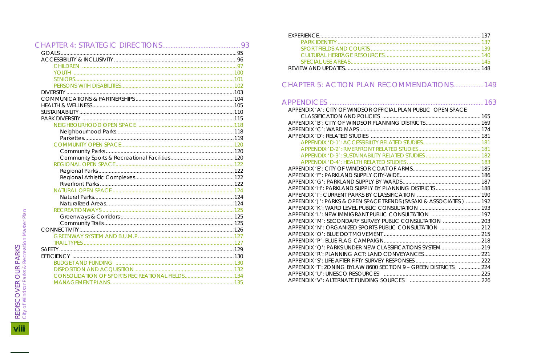| <b>GOALS</b>    |  |
|-----------------|--|
|                 |  |
| <b>CHILDREN</b> |  |
| YOUTH           |  |
| <b>SENIORS</b>  |  |
|                 |  |
|                 |  |
|                 |  |
|                 |  |
|                 |  |
|                 |  |
|                 |  |
|                 |  |
|                 |  |
|                 |  |
|                 |  |
|                 |  |
|                 |  |
|                 |  |
|                 |  |
|                 |  |
|                 |  |
|                 |  |
|                 |  |
|                 |  |
|                 |  |
|                 |  |
| CONNECTIVITY.   |  |
|                 |  |
|                 |  |
|                 |  |
|                 |  |
|                 |  |
|                 |  |
|                 |  |
|                 |  |

# CHAPTER 5: ACTION PLAN RECOMMENDATIONS.................149

#### $\mathsf{A}$

| APPENDIX 'A': CITY OF WINDSOR OFFICIAL PLAN PUBLIC OPEN SPACE      |  |
|--------------------------------------------------------------------|--|
|                                                                    |  |
|                                                                    |  |
|                                                                    |  |
|                                                                    |  |
|                                                                    |  |
|                                                                    |  |
|                                                                    |  |
|                                                                    |  |
|                                                                    |  |
|                                                                    |  |
|                                                                    |  |
| APPENDIX 'H': PARKLAND SUPPLY BY PLANNING DISTRICTS  188           |  |
|                                                                    |  |
| APPENDIX 'J': PARKS & OPEN SPACE TRENDS (SASAKI & ASSOCIATES)  192 |  |
|                                                                    |  |
| APPENDIX 'L': NEW IMMIGRANT PUBLIC CONSULTATION  197               |  |
| APPENDIX 'M': SECONDARY SURVEY PUBLIC CONSULTATION  203            |  |
| APPENDIX 'N': ORGANIZED SPORTS PUBLIC CONSULTATION  212            |  |
|                                                                    |  |
|                                                                    |  |
| APPENDIX 'Q': PARKS UNDER NEW CLASSIFICATIONS SYSTEM  219          |  |
|                                                                    |  |
|                                                                    |  |
| APPENDIX 'T': ZONING BYLAW 8600 SECTION 9 - GREEN DISTRICTS  224   |  |
|                                                                    |  |
|                                                                    |  |
|                                                                    |  |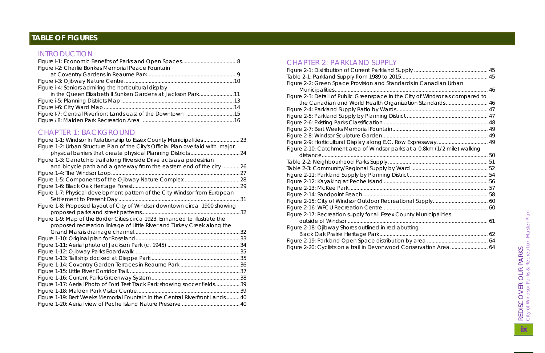

# **TABLE OF FIGURES**

#### INTRODUCTION

| Figure i-2: Charlie Borrkes Memorial Peace Fountain        |  |
|------------------------------------------------------------|--|
|                                                            |  |
|                                                            |  |
| Figure i-4: Seniors admiring the horticultural display     |  |
| in the Queen Elizabeth II Sunken Gardens at Jackson Park11 |  |
|                                                            |  |
|                                                            |  |
|                                                            |  |
|                                                            |  |

### CHAPTER 1: BACKGROUND

| Figure 1-2: Urban Structure Plan of the City's Official Plan overlaid with major |    |
|----------------------------------------------------------------------------------|----|
|                                                                                  |    |
| Figure 1-3: Ganatchio trail along Riverside Drive acts as a pedestrian           |    |
| and bicycle path and a gateway from the eastern end of the city  26              |    |
|                                                                                  |    |
|                                                                                  |    |
|                                                                                  |    |
| Figure 1-7: Physical development pattern of the City Windsor from European       |    |
|                                                                                  |    |
| Figure 1-8: Proposed layout of City of Windsor downtown circa 1900 showing       |    |
|                                                                                  | 32 |
| Figure 1-9: Map of the Border Cities circa 1923. Enhanced to illustrate the      |    |
| proposed recreation linkage of Little River and Turkey Creek along the           |    |
|                                                                                  |    |
|                                                                                  |    |
|                                                                                  |    |
|                                                                                  |    |
|                                                                                  |    |
|                                                                                  |    |
|                                                                                  |    |
|                                                                                  |    |
| Figure 1-17: Aerial Photo of Ford Test Track Park showing soccer fields 39       |    |
|                                                                                  |    |
| Figure 1-19: Bert Weeks Memorial Fountain in the Central Riverfront Lands  40    |    |
|                                                                                  |    |

#### CHAPTER 2: PARKLAND SUPPLY

Figure 2-1: Distribution of Current Parkland Su Table 2-1: Parkland Supply from 1989 to 2015. Figure 2-2: Green Space Provision and Stand Municipalities .......................................................................................................... 46 Figure 2-3: Detail of Public Greenspace in the the Canadian and World Health Organi Figure 2-4: Parkland Supply Ratio by Wards... Figure 2-5: Parkland Supply by Planning District Figure 2-6: Existing Parks Classification ............. Figure 2-7: Bert Weeks Memorial Fountain....... Figure 2-8: Windsor Sculpture Garden.............. Figure 2-9: Horticultural Display along E.C. Row Figure 2-10: Catchment area of Windsor park distance ................................................................................................................... 50 Table 2-2: Neighbourhood Parks Supply .......... Table 2-3: Community/Regional Supply by W. Figure 2-11: Parkland Supply by Planning Distri Figure 2-12: Kayaking at Peche Island ............. Figure 2-13: McKee Park ................................................................................................ 57 Figure 2-14: Sandpoint Beach ...................................................................................... 58 Figure 2-15: City of Windsor Outdoor Recreat Figure 2-16: WFCU Recreation Centre.............. Figure 2-17: Recreation supply for all Essex Co outside of Windsor ................................................................................................. 61 Figure 2-18: Ojibway Shores outlined in red al Black Oak Prairie Heritage Park................. Figure 2-19: Parkland Open Space distribution Figure 2-20: Cyclists on a trail in Devonwood

| ards in Canadian Urban                                   |    |
|----------------------------------------------------------|----|
|                                                          | 46 |
| e City of Windsor as compared to<br>ization Standards 46 |    |
|                                                          |    |
|                                                          |    |
|                                                          |    |
|                                                          |    |
|                                                          |    |
|                                                          |    |
| s at a 0.8km (1/2 mile) walking                          |    |
|                                                          |    |
|                                                          |    |
|                                                          |    |
|                                                          |    |
|                                                          |    |
|                                                          |    |
|                                                          |    |
|                                                          |    |
| <b>Dunty Municipalities</b>                              |    |
| butting                                                  |    |
|                                                          |    |
|                                                          |    |
|                                                          |    |